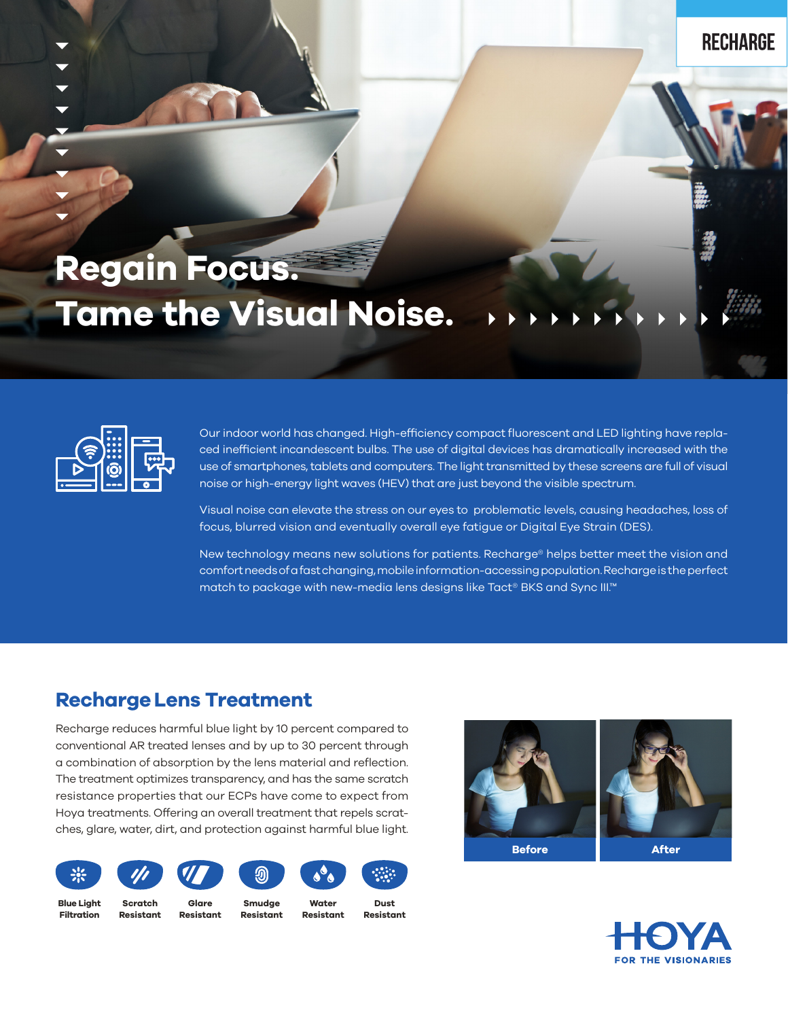## **Regain Focus. Tame the Visual Noise.**



Our indoor world has changed. High-efficiency compact fluorescent and LED lighting have replaced inefficient incandescent bulbs. The use of digital devices has dramatically increased with the use of smartphones, tablets and computers. The light transmitted by these screens are full of visual noise or high-energy light waves (HEV) that are just beyond the visible spectrum.

Visual noise can elevate the stress on our eyes to problematic levels, causing headaches, loss of focus, blurred vision and eventually overall eye fatigue or Digital Eye Strain (DES).

New technology means new solutions for patients. Recharge® helps better meet the vision and comfort needs of a fast changing, mobile information-accessing population. Recharge is the perfect match to package with new-media lens designs like Tact® BKS and Sync III.™

## **RechargeLens Treatment**

Recharge reduces harmful blue light by 10 percent compared to conventional AR treated lenses and by up to 30 percent through a combination of absorption by the lens material and reflection. The treatment optimizes transparency, and has the same scratch resistance properties that our ECPs have come to expect from Hoya treatments. Offering an overall treatment that repels scratches, glare, water, dirt, and protection against harmful blue light.



**Smudge Resistant**

**Blue Light Filtration**

**Resistant**

**Scratch** 

**Glare Resistant**

**Water Resistant**